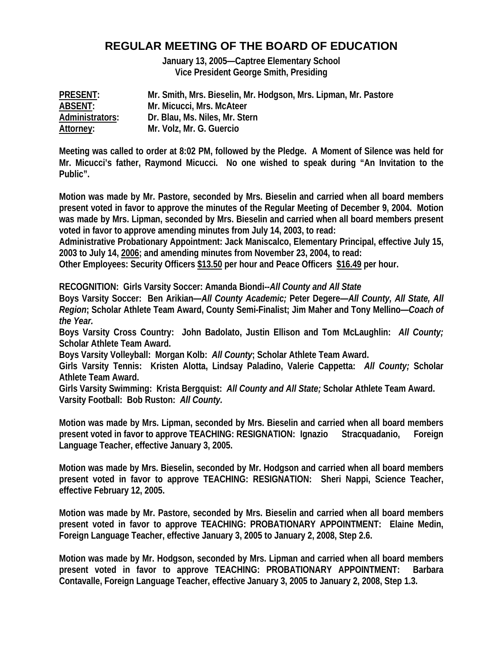# **REGULAR MEETING OF THE BOARD OF EDUCATION**

**January 13, 2005—Captree Elementary School Vice President George Smith, Presiding** 

| <b>PRESENT:</b> | Mr. Smith, Mrs. Bieselin, Mr. Hodgson, Mrs. Lipman, Mr. Pastore |
|-----------------|-----------------------------------------------------------------|
| <b>ABSENT:</b>  | Mr. Micucci, Mrs. McAteer                                       |
| Administrators: | Dr. Blau, Ms. Niles, Mr. Stern                                  |
| Attorney:       | Mr. Volz, Mr. G. Guercio                                        |

**Meeting was called to order at 8:02 PM, followed by the Pledge. A Moment of Silence was held for Mr. Micucci's father, Raymond Micucci. No one wished to speak during "An Invitation to the Public".** 

**Motion was made by Mr. Pastore, seconded by Mrs. Bieselin and carried when all board members present voted in favor to approve the minutes of the Regular Meeting of December 9, 2004. Motion was made by Mrs. Lipman, seconded by Mrs. Bieselin and carried when all board members present voted in favor to approve amending minutes from July 14, 2003, to read:** 

**Administrative Probationary Appointment: Jack Maniscalco, Elementary Principal, effective July 15, 2003 to July 14, 2006; and amending minutes from November 23, 2004, to read:** 

**Other Employees: Security Officers \$13.50 per hour and Peace Officers \$16.49 per hour.** 

**RECOGNITION: Girls Varsity Soccer: Amanda Biondi--***All County and All State*

**Boys Varsity Soccer: Ben Arikian—***All County Academic;* **Peter Degere—***All County, All State, All Region***; Scholar Athlete Team Award, County Semi-Finalist; Jim Maher and Tony Mellino—***Coach of the Year.*

**Boys Varsity Cross Country: John Badolato, Justin Ellison and Tom McLaughlin:** *All County;*  **Scholar Athlete Team Award.** 

**Boys Varsity Volleyball: Morgan Kolb:** *All County***; Scholar Athlete Team Award.** 

**Girls Varsity Tennis: Kristen Alotta, Lindsay Paladino, Valerie Cappetta:** *All County;* **Scholar Athlete Team Award.** 

**Girls Varsity Swimming: Krista Bergquist:** *All County and All State;* **Scholar Athlete Team Award. Varsity Football: Bob Ruston:** *All County.* 

**Motion was made by Mrs. Lipman, seconded by Mrs. Bieselin and carried when all board members present voted in favor to approve TEACHING: RESIGNATION: Ignazio Stracquadanio, Foreign Language Teacher, effective January 3, 2005.** 

**Motion was made by Mrs. Bieselin, seconded by Mr. Hodgson and carried when all board members present voted in favor to approve TEACHING: RESIGNATION: Sheri Nappi, Science Teacher, effective February 12, 2005.** 

**Motion was made by Mr. Pastore, seconded by Mrs. Bieselin and carried when all board members present voted in favor to approve TEACHING: PROBATIONARY APPOINTMENT: Elaine Medin, Foreign Language Teacher, effective January 3, 2005 to January 2, 2008, Step 2.6.** 

**Motion was made by Mr. Hodgson, seconded by Mrs. Lipman and carried when all board members present voted in favor to approve TEACHING: PROBATIONARY APPOINTMENT: Barbara Contavalle, Foreign Language Teacher, effective January 3, 2005 to January 2, 2008, Step 1.3.**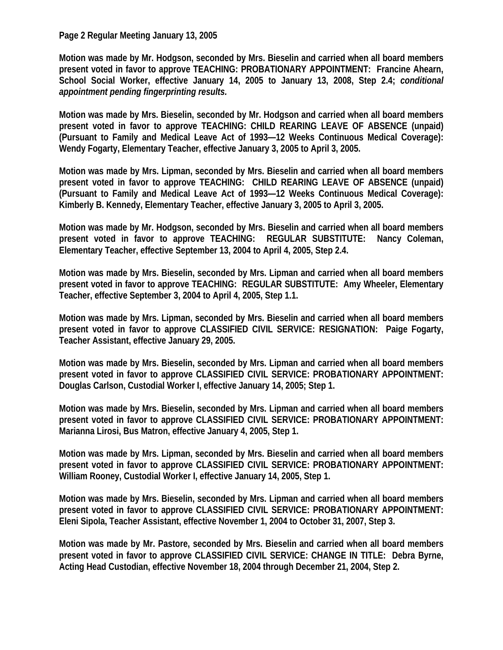#### **Page 2 Regular Meeting January 13, 2005**

**Motion was made by Mr. Hodgson, seconded by Mrs. Bieselin and carried when all board members present voted in favor to approve TEACHING: PROBATIONARY APPOINTMENT: Francine Ahearn, School Social Worker, effective January 14, 2005 to January 13, 2008, Step 2.4;** *conditional appointment pending fingerprinting results.* 

**Motion was made by Mrs. Bieselin, seconded by Mr. Hodgson and carried when all board members present voted in favor to approve TEACHING: CHILD REARING LEAVE OF ABSENCE (unpaid) (Pursuant to Family and Medical Leave Act of 1993—12 Weeks Continuous Medical Coverage): Wendy Fogarty, Elementary Teacher, effective January 3, 2005 to April 3, 2005.** 

**Motion was made by Mrs. Lipman, seconded by Mrs. Bieselin and carried when all board members present voted in favor to approve TEACHING: CHILD REARING LEAVE OF ABSENCE (unpaid) (Pursuant to Family and Medical Leave Act of 1993—12 Weeks Continuous Medical Coverage): Kimberly B. Kennedy, Elementary Teacher, effective January 3, 2005 to April 3, 2005.** 

**Motion was made by Mr. Hodgson, seconded by Mrs. Bieselin and carried when all board members present voted in favor to approve TEACHING: REGULAR SUBSTITUTE: Nancy Coleman, Elementary Teacher, effective September 13, 2004 to April 4, 2005, Step 2.4.** 

**Motion was made by Mrs. Bieselin, seconded by Mrs. Lipman and carried when all board members present voted in favor to approve TEACHING: REGULAR SUBSTITUTE: Amy Wheeler, Elementary Teacher, effective September 3, 2004 to April 4, 2005, Step 1.1.** 

**Motion was made by Mrs. Lipman, seconded by Mrs. Bieselin and carried when all board members present voted in favor to approve CLASSIFIED CIVIL SERVICE: RESIGNATION: Paige Fogarty, Teacher Assistant, effective January 29, 2005.** 

**Motion was made by Mrs. Bieselin, seconded by Mrs. Lipman and carried when all board members present voted in favor to approve CLASSIFIED CIVIL SERVICE: PROBATIONARY APPOINTMENT: Douglas Carlson, Custodial Worker I, effective January 14, 2005; Step 1.** 

**Motion was made by Mrs. Bieselin, seconded by Mrs. Lipman and carried when all board members present voted in favor to approve CLASSIFIED CIVIL SERVICE: PROBATIONARY APPOINTMENT: Marianna Lirosi, Bus Matron, effective January 4, 2005, Step 1.** 

**Motion was made by Mrs. Lipman, seconded by Mrs. Bieselin and carried when all board members present voted in favor to approve CLASSIFIED CIVIL SERVICE: PROBATIONARY APPOINTMENT: William Rooney, Custodial Worker I, effective January 14, 2005, Step 1.** 

**Motion was made by Mrs. Bieselin, seconded by Mrs. Lipman and carried when all board members present voted in favor to approve CLASSIFIED CIVIL SERVICE: PROBATIONARY APPOINTMENT: Eleni Sipola, Teacher Assistant, effective November 1, 2004 to October 31, 2007, Step 3.** 

**Motion was made by Mr. Pastore, seconded by Mrs. Bieselin and carried when all board members present voted in favor to approve CLASSIFIED CIVIL SERVICE: CHANGE IN TITLE: Debra Byrne, Acting Head Custodian, effective November 18, 2004 through December 21, 2004, Step 2.**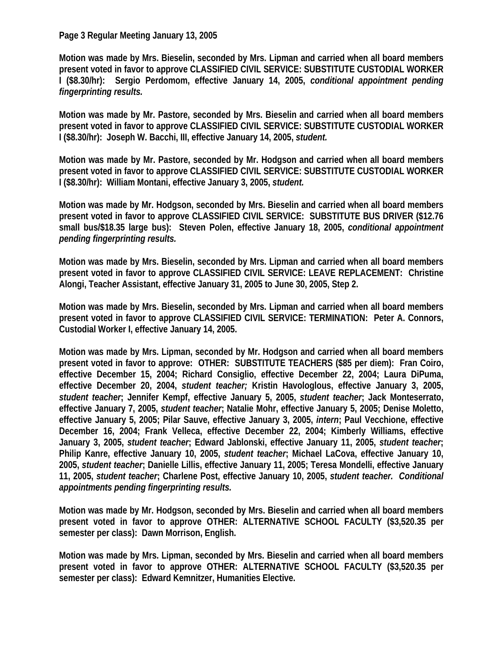#### **Page 3 Regular Meeting January 13, 2005**

**Motion was made by Mrs. Bieselin, seconded by Mrs. Lipman and carried when all board members present voted in favor to approve CLASSIFIED CIVIL SERVICE: SUBSTITUTE CUSTODIAL WORKER I (\$8.30/hr): Sergio Perdomom, effective January 14, 2005,** *conditional appointment pending fingerprinting results.* 

**Motion was made by Mr. Pastore, seconded by Mrs. Bieselin and carried when all board members present voted in favor to approve CLASSIFIED CIVIL SERVICE: SUBSTITUTE CUSTODIAL WORKER I (\$8.30/hr): Joseph W. Bacchi, III, effective January 14, 2005,** *student.*

**Motion was made by Mr. Pastore, seconded by Mr. Hodgson and carried when all board members present voted in favor to approve CLASSIFIED CIVIL SERVICE: SUBSTITUTE CUSTODIAL WORKER I (\$8.30/hr): William Montani, effective January 3, 2005,** *student.* 

**Motion was made by Mr. Hodgson, seconded by Mrs. Bieselin and carried when all board members present voted in favor to approve CLASSIFIED CIVIL SERVICE: SUBSTITUTE BUS DRIVER (\$12.76 small bus/\$18.35 large bus): Steven Polen, effective January 18, 2005,** *conditional appointment pending fingerprinting results.*

**Motion was made by Mrs. Bieselin, seconded by Mrs. Lipman and carried when all board members present voted in favor to approve CLASSIFIED CIVIL SERVICE: LEAVE REPLACEMENT: Christine Alongi, Teacher Assistant, effective January 31, 2005 to June 30, 2005, Step 2.** 

**Motion was made by Mrs. Bieselin, seconded by Mrs. Lipman and carried when all board members present voted in favor to approve CLASSIFIED CIVIL SERVICE: TERMINATION: Peter A. Connors, Custodial Worker I, effective January 14, 2005.** 

**Motion was made by Mrs. Lipman, seconded by Mr. Hodgson and carried when all board members present voted in favor to approve: OTHER: SUBSTITUTE TEACHERS (\$85 per diem): Fran Coiro, effective December 15, 2004; Richard Consiglio, effective December 22, 2004; Laura DiPuma, effective December 20, 2004,** *student teacher;* **Kristin Havologlous, effective January 3, 2005,**  *student teacher***; Jennifer Kempf, effective January 5, 2005,** *student teacher***; Jack Monteserrato, effective January 7, 2005,** *student teacher***; Natalie Mohr, effective January 5, 2005; Denise Moletto, effective January 5, 2005; Pilar Sauve, effective January 3, 2005,** *intern***; Paul Vecchione, effective December 16, 2004; Frank Velleca, effective December 22, 2004; Kimberly Williams, effective January 3, 2005,** *student teacher***; Edward Jablonski, effective January 11, 2005,** *student teacher***; Philip Kanre, effective January 10, 2005,** *student teacher***; Michael LaCova, effective January 10, 2005,** *student teacher***; Danielle Lillis, effective January 11, 2005; Teresa Mondelli, effective January 11, 2005,** *student teacher***; Charlene Post, effective January 10, 2005,** *student teacher.**Conditional appointments pending fingerprinting results.* 

**Motion was made by Mr. Hodgson, seconded by Mrs. Bieselin and carried when all board members present voted in favor to approve OTHER: ALTERNATIVE SCHOOL FACULTY (\$3,520.35 per semester per class): Dawn Morrison, English.** 

**Motion was made by Mrs. Lipman, seconded by Mrs. Bieselin and carried when all board members present voted in favor to approve OTHER: ALTERNATIVE SCHOOL FACULTY (\$3,520.35 per semester per class): Edward Kemnitzer, Humanities Elective.**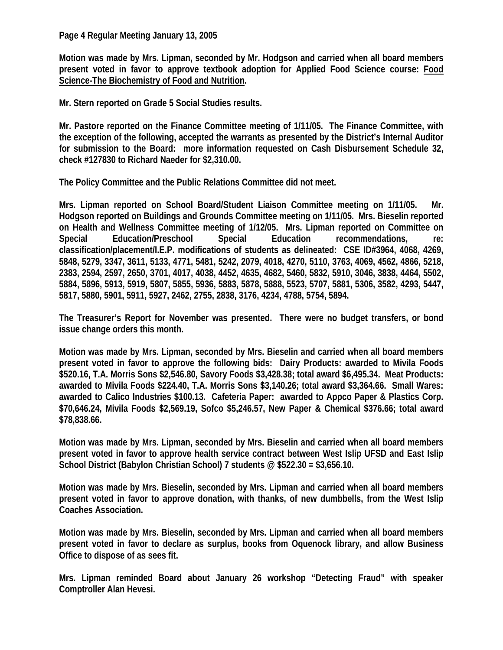## **Page 4 Regular Meeting January 13, 2005**

**Motion was made by Mrs. Lipman, seconded by Mr. Hodgson and carried when all board members present voted in favor to approve textbook adoption for Applied Food Science course: Food Science-The Biochemistry of Food and Nutrition.** 

**Mr. Stern reported on Grade 5 Social Studies results.** 

**Mr. Pastore reported on the Finance Committee meeting of 1/11/05. The Finance Committee, with the exception of the following, accepted the warrants as presented by the District's Internal Auditor for submission to the Board: more information requested on Cash Disbursement Schedule 32, check #127830 to Richard Naeder for \$2,310.00.** 

**The Policy Committee and the Public Relations Committee did not meet.** 

**Mrs. Lipman reported on School Board/Student Liaison Committee meeting on 1/11/05. Mr. Hodgson reported on Buildings and Grounds Committee meeting on 1/11/05. Mrs. Bieselin reported on Health and Wellness Committee meeting of 1/12/05. Mrs. Lipman reported on Committee on Special Education/Preschool Special Education recommendations, re: classification/placement/I.E.P. modifications of students as delineated: CSE ID#3964, 4068, 4269, 5848, 5279, 3347, 3611, 5133, 4771, 5481, 5242, 2079, 4018, 4270, 5110, 3763, 4069, 4562, 4866, 5218, 2383, 2594, 2597, 2650, 3701, 4017, 4038, 4452, 4635, 4682, 5460, 5832, 5910, 3046, 3838, 4464, 5502, 5884, 5896, 5913, 5919, 5807, 5855, 5936, 5883, 5878, 5888, 5523, 5707, 5881, 5306, 3582, 4293, 5447, 5817, 5880, 5901, 5911, 5927, 2462, 2755, 2838, 3176, 4234, 4788, 5754, 5894.** 

**The Treasurer's Report for November was presented. There were no budget transfers, or bond issue change orders this month.** 

**Motion was made by Mrs. Lipman, seconded by Mrs. Bieselin and carried when all board members present voted in favor to approve the following bids: Dairy Products: awarded to Mivila Foods \$520.16, T.A. Morris Sons \$2,546.80, Savory Foods \$3,428.38; total award \$6,495.34. Meat Products: awarded to Mivila Foods \$224.40, T.A. Morris Sons \$3,140.26; total award \$3,364.66. Small Wares: awarded to Calico Industries \$100.13. Cafeteria Paper: awarded to Appco Paper & Plastics Corp. \$70,646.24, Mivila Foods \$2,569.19, Sofco \$5,246.57, New Paper & Chemical \$376.66; total award \$78,838.66.** 

**Motion was made by Mrs. Lipman, seconded by Mrs. Bieselin and carried when all board members present voted in favor to approve health service contract between West Islip UFSD and East Islip School District (Babylon Christian School) 7 students @ \$522.30 = \$3,656.10.** 

**Motion was made by Mrs. Bieselin, seconded by Mrs. Lipman and carried when all board members present voted in favor to approve donation, with thanks, of new dumbbells, from the West Islip Coaches Association.** 

**Motion was made by Mrs. Bieselin, seconded by Mrs. Lipman and carried when all board members present voted in favor to declare as surplus, books from Oquenock library, and allow Business Office to dispose of as sees fit.** 

**Mrs. Lipman reminded Board about January 26 workshop "Detecting Fraud" with speaker Comptroller Alan Hevesi.**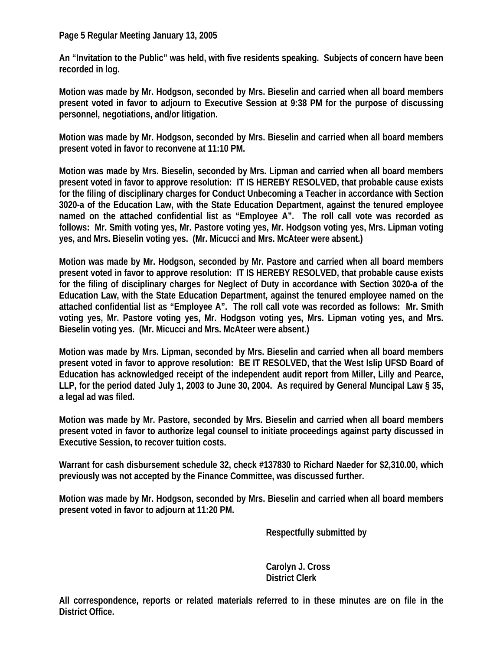**Page 5 Regular Meeting January 13, 2005** 

**An "Invitation to the Public" was held, with five residents speaking. Subjects of concern have been recorded in log.** 

**Motion was made by Mr. Hodgson, seconded by Mrs. Bieselin and carried when all board members present voted in favor to adjourn to Executive Session at 9:38 PM for the purpose of discussing personnel, negotiations, and/or litigation.** 

**Motion was made by Mr. Hodgson, seconded by Mrs. Bieselin and carried when all board members present voted in favor to reconvene at 11:10 PM.** 

**Motion was made by Mrs. Bieselin, seconded by Mrs. Lipman and carried when all board members present voted in favor to approve resolution: IT IS HEREBY RESOLVED, that probable cause exists for the filing of disciplinary charges for Conduct Unbecoming a Teacher in accordance with Section 3020-a of the Education Law, with the State Education Department, against the tenured employee named on the attached confidential list as "Employee A". The roll call vote was recorded as follows: Mr. Smith voting yes, Mr. Pastore voting yes, Mr. Hodgson voting yes, Mrs. Lipman voting yes, and Mrs. Bieselin voting yes. (Mr. Micucci and Mrs. McAteer were absent.)** 

**Motion was made by Mr. Hodgson, seconded by Mr. Pastore and carried when all board members present voted in favor to approve resolution: IT IS HEREBY RESOLVED, that probable cause exists for the filing of disciplinary charges for Neglect of Duty in accordance with Section 3020-a of the Education Law, with the State Education Department, against the tenured employee named on the attached confidential list as "Employee A". The roll call vote was recorded as follows: Mr. Smith voting yes, Mr. Pastore voting yes, Mr. Hodgson voting yes, Mrs. Lipman voting yes, and Mrs. Bieselin voting yes. (Mr. Micucci and Mrs. McAteer were absent.)** 

**Motion was made by Mrs. Lipman, seconded by Mrs. Bieselin and carried when all board members present voted in favor to approve resolution: BE IT RESOLVED, that the West Islip UFSD Board of Education has acknowledged receipt of the independent audit report from Miller, Lilly and Pearce, LLP, for the period dated July 1, 2003 to June 30, 2004. As required by General Muncipal Law § 35, a legal ad was filed.** 

**Motion was made by Mr. Pastore, seconded by Mrs. Bieselin and carried when all board members present voted in favor to authorize legal counsel to initiate proceedings against party discussed in Executive Session, to recover tuition costs.** 

**Warrant for cash disbursement schedule 32, check #137830 to Richard Naeder for \$2,310.00, which previously was not accepted by the Finance Committee, was discussed further.** 

**Motion was made by Mr. Hodgson, seconded by Mrs. Bieselin and carried when all board members present voted in favor to adjourn at 11:20 PM.** 

 **Respectfully submitted by** 

 **Carolyn J. Cross District Clerk** 

**All correspondence, reports or related materials referred to in these minutes are on file in the District Office.**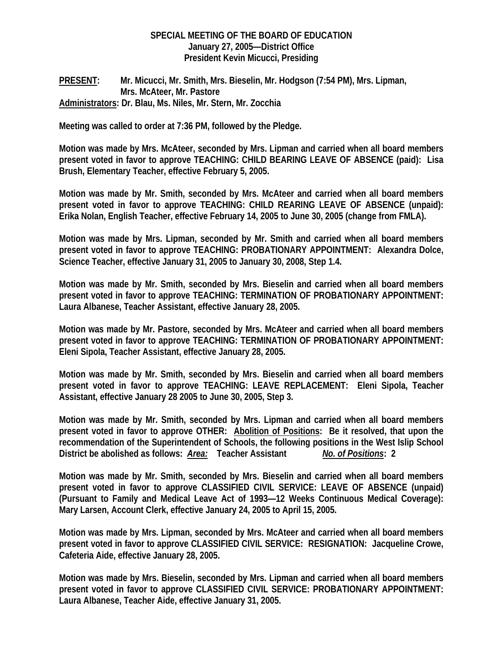## **SPECIAL MEETING OF THE BOARD OF EDUCATION January 27, 2005—District Office President Kevin Micucci, Presiding**

# **PRESENT: Mr. Micucci, Mr. Smith, Mrs. Bieselin, Mr. Hodgson (7:54 PM), Mrs. Lipman, Mrs. McAteer, Mr. Pastore Administrators: Dr. Blau, Ms. Niles, Mr. Stern, Mr. Zocchia**

**Meeting was called to order at 7:36 PM, followed by the Pledge.** 

**Motion was made by Mrs. McAteer, seconded by Mrs. Lipman and carried when all board members present voted in favor to approve TEACHING: CHILD BEARING LEAVE OF ABSENCE (paid): Lisa Brush, Elementary Teacher, effective February 5, 2005.** 

**Motion was made by Mr. Smith, seconded by Mrs. McAteer and carried when all board members present voted in favor to approve TEACHING: CHILD REARING LEAVE OF ABSENCE (unpaid): Erika Nolan, English Teacher, effective February 14, 2005 to June 30, 2005 (change from FMLA).** 

**Motion was made by Mrs. Lipman, seconded by Mr. Smith and carried when all board members present voted in favor to approve TEACHING: PROBATIONARY APPOINTMENT: Alexandra Dolce, Science Teacher, effective January 31, 2005 to January 30, 2008, Step 1.4.** 

**Motion was made by Mr. Smith, seconded by Mrs. Bieselin and carried when all board members present voted in favor to approve TEACHING: TERMINATION OF PROBATIONARY APPOINTMENT: Laura Albanese, Teacher Assistant, effective January 28, 2005.** 

**Motion was made by Mr. Pastore, seconded by Mrs. McAteer and carried when all board members present voted in favor to approve TEACHING: TERMINATION OF PROBATIONARY APPOINTMENT: Eleni Sipola, Teacher Assistant, effective January 28, 2005.** 

**Motion was made by Mr. Smith, seconded by Mrs. Bieselin and carried when all board members present voted in favor to approve TEACHING: LEAVE REPLACEMENT: Eleni Sipola, Teacher Assistant, effective January 28 2005 to June 30, 2005, Step 3.** 

**Motion was made by Mr. Smith, seconded by Mrs. Lipman and carried when all board members present voted in favor to approve OTHER: Abolition of Positions: Be it resolved, that upon the recommendation of the Superintendent of Schools, the following positions in the West Islip School District be abolished as follows:** *Area:* **Teacher Assistant** *No. of Positions***: 2** 

**Motion was made by Mr. Smith, seconded by Mrs. Bieselin and carried when all board members present voted in favor to approve CLASSIFIED CIVIL SERVICE: LEAVE OF ABSENCE (unpaid) (Pursuant to Family and Medical Leave Act of 1993—12 Weeks Continuous Medical Coverage): Mary Larsen, Account Clerk, effective January 24, 2005 to April 15, 2005.** 

**Motion was made by Mrs. Lipman, seconded by Mrs. McAteer and carried when all board members present voted in favor to approve CLASSIFIED CIVIL SERVICE: RESIGNATION: Jacqueline Crowe, Cafeteria Aide, effective January 28, 2005.** 

**Motion was made by Mrs. Bieselin, seconded by Mrs. Lipman and carried when all board members present voted in favor to approve CLASSIFIED CIVIL SERVICE: PROBATIONARY APPOINTMENT: Laura Albanese, Teacher Aide, effective January 31, 2005.**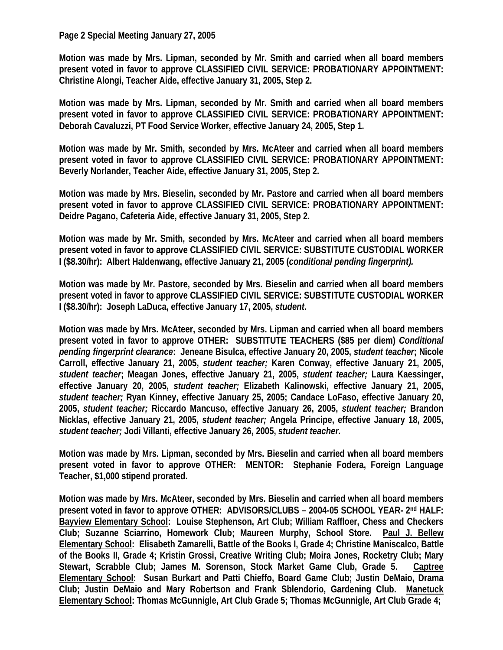## **Page 2 Special Meeting January 27, 2005**

**Motion was made by Mrs. Lipman, seconded by Mr. Smith and carried when all board members present voted in favor to approve CLASSIFIED CIVIL SERVICE: PROBATIONARY APPOINTMENT: Christine Alongi, Teacher Aide, effective January 31, 2005, Step 2.** 

**Motion was made by Mrs. Lipman, seconded by Mr. Smith and carried when all board members present voted in favor to approve CLASSIFIED CIVIL SERVICE: PROBATIONARY APPOINTMENT: Deborah Cavaluzzi, PT Food Service Worker, effective January 24, 2005, Step 1.** 

**Motion was made by Mr. Smith, seconded by Mrs. McAteer and carried when all board members present voted in favor to approve CLASSIFIED CIVIL SERVICE: PROBATIONARY APPOINTMENT: Beverly Norlander, Teacher Aide, effective January 31, 2005, Step 2.** 

**Motion was made by Mrs. Bieselin, seconded by Mr. Pastore and carried when all board members present voted in favor to approve CLASSIFIED CIVIL SERVICE: PROBATIONARY APPOINTMENT: Deidre Pagano, Cafeteria Aide, effective January 31, 2005, Step 2.** 

**Motion was made by Mr. Smith, seconded by Mrs. McAteer and carried when all board members present voted in favor to approve CLASSIFIED CIVIL SERVICE: SUBSTITUTE CUSTODIAL WORKER I (\$8.30/hr): Albert Haldenwang, effective January 21, 2005 (***conditional pending fingerprint).* 

**Motion was made by Mr. Pastore, seconded by Mrs. Bieselin and carried when all board members present voted in favor to approve CLASSIFIED CIVIL SERVICE: SUBSTITUTE CUSTODIAL WORKER I (\$8.30/hr): Joseph LaDuca, effective January 17, 2005,** *student***.** 

**Motion was made by Mrs. McAteer, seconded by Mrs. Lipman and carried when all board members present voted in favor to approve OTHER: SUBSTITUTE TEACHERS (\$85 per diem)** *Conditional pending fingerprint clearance***: Jeneane Bisulca, effective January 20, 2005,** *student teacher***; Nicole Carroll, effective January 21, 2005,** *student teacher;* **Karen Conway, effective January 21, 2005,**  *student teacher***; Meagan Jones, effective January 21, 2005,** *student teacher;* **Laura Kaessinger, effective January 20, 2005,** *student teacher;* **Elizabeth Kalinowski, effective January 21, 2005,**  *student teacher;* **Ryan Kinney, effective January 25, 2005; Candace LoFaso, effective January 20, 2005,** *student teacher;* **Riccardo Mancuso, effective January 26, 2005,** *student teacher;* **Brandon Nicklas, effective January 21, 2005,** *student teacher;* **Angela Principe, effective January 18, 2005,**  *student teacher;* **Jodi Villanti, effective January 26, 2005,** *student teacher.* 

**Motion was made by Mrs. Lipman, seconded by Mrs. Bieselin and carried when all board members present voted in favor to approve OTHER: MENTOR: Stephanie Fodera, Foreign Language Teacher, \$1,000 stipend prorated.** 

**Motion was made by Mrs. McAteer, seconded by Mrs. Bieselin and carried when all board members present voted in favor to approve OTHER: ADVISORS/CLUBS – 2004-05 SCHOOL YEAR- 2nd HALF: Bayview Elementary School: Louise Stephenson, Art Club; William Raffloer, Chess and Checkers Club; Suzanne Sciarrino, Homework Club; Maureen Murphy, School Store. Paul J. Bellew Elementary School: Elisabeth Zamarelli, Battle of the Books I, Grade 4; Christine Maniscalco, Battle of the Books II, Grade 4; Kristin Grossi, Creative Writing Club; Moira Jones, Rocketry Club; Mary Stewart, Scrabble Club; James M. Sorenson, Stock Market Game Club, Grade 5. Captree Elementary School: Susan Burkart and Patti Chieffo, Board Game Club; Justin DeMaio, Drama Club; Justin DeMaio and Mary Robertson and Frank Sblendorio, Gardening Club. Manetuck Elementary School: Thomas McGunnigle, Art Club Grade 5; Thomas McGunnigle, Art Club Grade 4;**